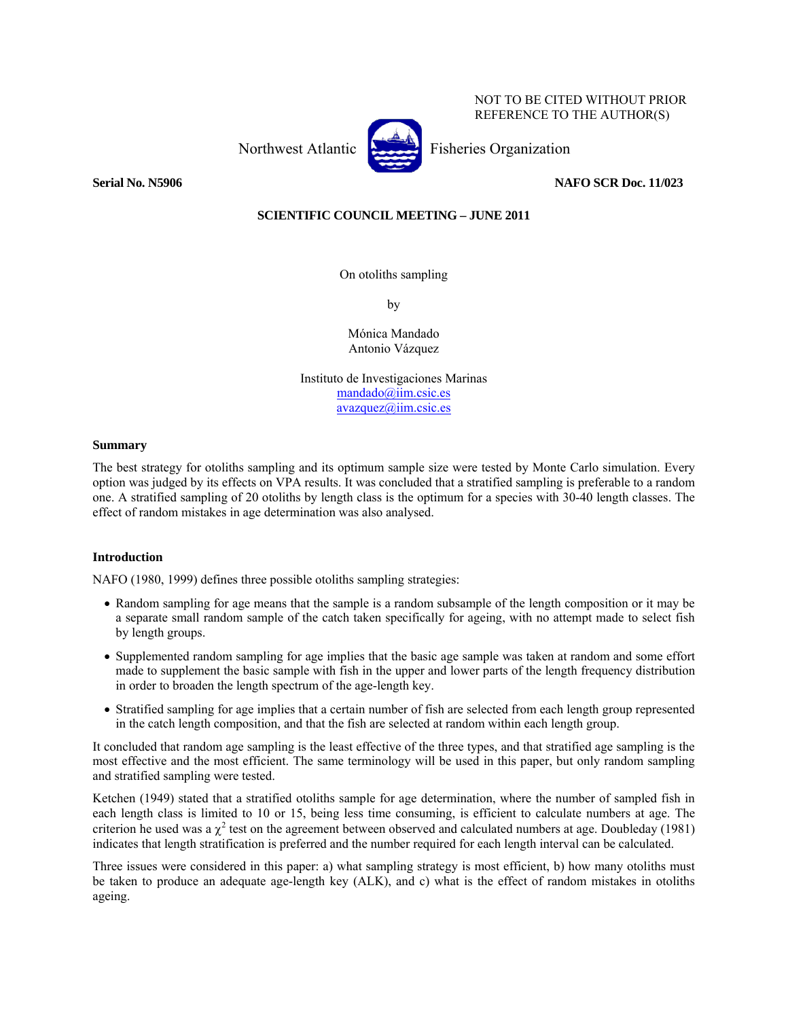NOT TO BE CITED WITHOUT PRIOR REFERENCE TO THE AUTHOR(S)

Northwest Atlantic Fisheries Organization



**Serial No. N5906 NAFO SCR Doc. 11/023** 

# **SCIENTIFIC COUNCIL MEETING – JUNE 2011**

On otoliths sampling

by

Mónica Mandado Antonio Vázquez

Instituto de Investigaciones Marinas mandado@iim.csic.es avazquez@iim.csic.es

## **Summary**

The best strategy for otoliths sampling and its optimum sample size were tested by Monte Carlo simulation. Every option was judged by its effects on VPA results. It was concluded that a stratified sampling is preferable to a random one. A stratified sampling of 20 otoliths by length class is the optimum for a species with 30-40 length classes. The effect of random mistakes in age determination was also analysed.

# **Introduction**

NAFO (1980, 1999) defines three possible otoliths sampling strategies:

- Random sampling for age means that the sample is a random subsample of the length composition or it may be a separate small random sample of the catch taken specifically for ageing, with no attempt made to select fish by length groups.
- Supplemented random sampling for age implies that the basic age sample was taken at random and some effort made to supplement the basic sample with fish in the upper and lower parts of the length frequency distribution in order to broaden the length spectrum of the age-length key.
- Stratified sampling for age implies that a certain number of fish are selected from each length group represented in the catch length composition, and that the fish are selected at random within each length group.

It concluded that random age sampling is the least effective of the three types, and that stratified age sampling is the most effective and the most efficient. The same terminology will be used in this paper, but only random sampling and stratified sampling were tested.

Ketchen (1949) stated that a stratified otoliths sample for age determination, where the number of sampled fish in each length class is limited to 10 or 15, being less time consuming, is efficient to calculate numbers at age. The criterion he used was a  $\chi^2$  test on the agreement between observed and calculated numbers at age. Doubleday (1981) indicates that length stratification is preferred and the number required for each length interval can be calculated.

Three issues were considered in this paper: a) what sampling strategy is most efficient, b) how many otoliths must be taken to produce an adequate age-length key (ALK), and c) what is the effect of random mistakes in otoliths ageing.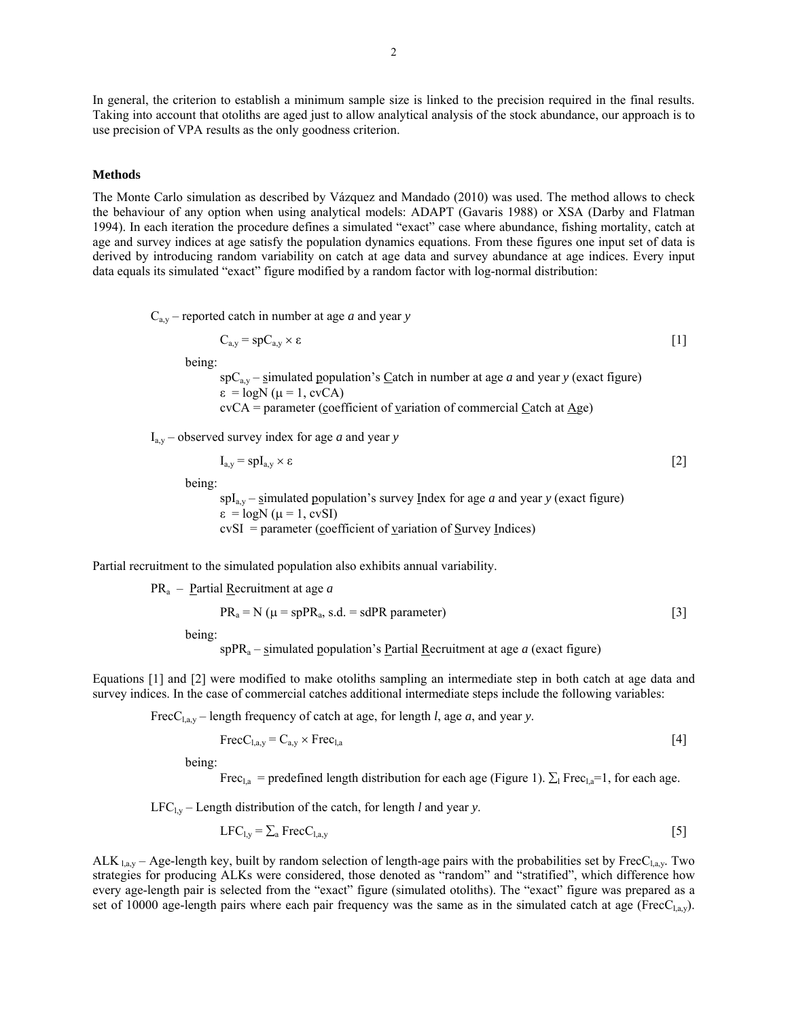In general, the criterion to establish a minimum sample size is linked to the precision required in the final results. Taking into account that otoliths are aged just to allow analytical analysis of the stock abundance, our approach is to use precision of VPA results as the only goodness criterion.

#### **Methods**

The Monte Carlo simulation as described by Vázquez and Mandado (2010) was used. The method allows to check the behaviour of any option when using analytical models: ADAPT (Gavaris 1988) or XSA (Darby and Flatman 1994). In each iteration the procedure defines a simulated "exact" case where abundance, fishing mortality, catch at age and survey indices at age satisfy the population dynamics equations. From these figures one input set of data is derived by introducing random variability on catch at age data and survey abundance at age indices. Every input data equals its simulated "exact" figure modified by a random factor with log-normal distribution:

 $C_{a,y}$  – reported catch in number at age *a* and year *y* 

$$
C_{a,y} = spC_{a,y} \times \varepsilon
$$
 [1]

being:

 $spC_{a,y}$  – simulated population's Catch in number at age *a* and year *y* (exact figure)  $\varepsilon = \log N (\mu = 1, \text{cvCA})$ cvCA = parameter (coefficient of variation of commercial Catch at Age)

 $I_{a,y}$  – observed survey index for age *a* and year *y* 

$$
I_{a,y} = \mathrm{spl}_{a,y} \times \varepsilon
$$

being:

 $spl_{a,y}$  – simulated population's survey Index for age *a* and year *y* (exact figure)  $\varepsilon = \log N (\mu = 1, \text{cvSI})$  $cvSI = parameter$  (coefficient of variation of Survey Indices)

Partial recruitment to the simulated population also exhibits annual variability.

PRa – Partial Recruitment at age *a*

$$
PR_a = N \ (\mu = s p PR_a, s.d. = s d PR parameter)
$$
 [3]

being:

sp $PR_a$  – simulated population's Partial Recruitment at age *a* (exact figure)

Equations [1] and [2] were modified to make otoliths sampling an intermediate step in both catch at age data and survey indices. In the case of commercial catches additional intermediate steps include the following variables:

FrecCl,a,y – length frequency of catch at age, for length *l*, age *a*, and year *y*.

$$
\text{FreeC}_{1,a,y} = C_{a,y} \times \text{Free}_{1,a} \tag{4}
$$

being:

Frec<sub>l,a</sub> = predefined length distribution for each age (Figure 1).  $\Sigma_l$  Frec<sub>l,a</sub>=1, for each age.

 $LFC_{1y}$  – Length distribution of the catch, for length *l* and year *y*.

$$
LFC_{1,y} = \sum_{a} \text{FreeC}_{1,a,y} \tag{5}
$$

ALK  $_{1, a,y}$  – Age-length key, built by random selection of length-age pairs with the probabilities set by FrecC<sub>l,a,y</sub>. Two strategies for producing ALKs were considered, those denoted as "random" and "stratified", which difference how every age-length pair is selected from the "exact" figure (simulated otoliths). The "exact" figure was prepared as a set of 10000 age-length pairs where each pair frequency was the same as in the simulated catch at age (Frec $C_{1,a,y}$ ).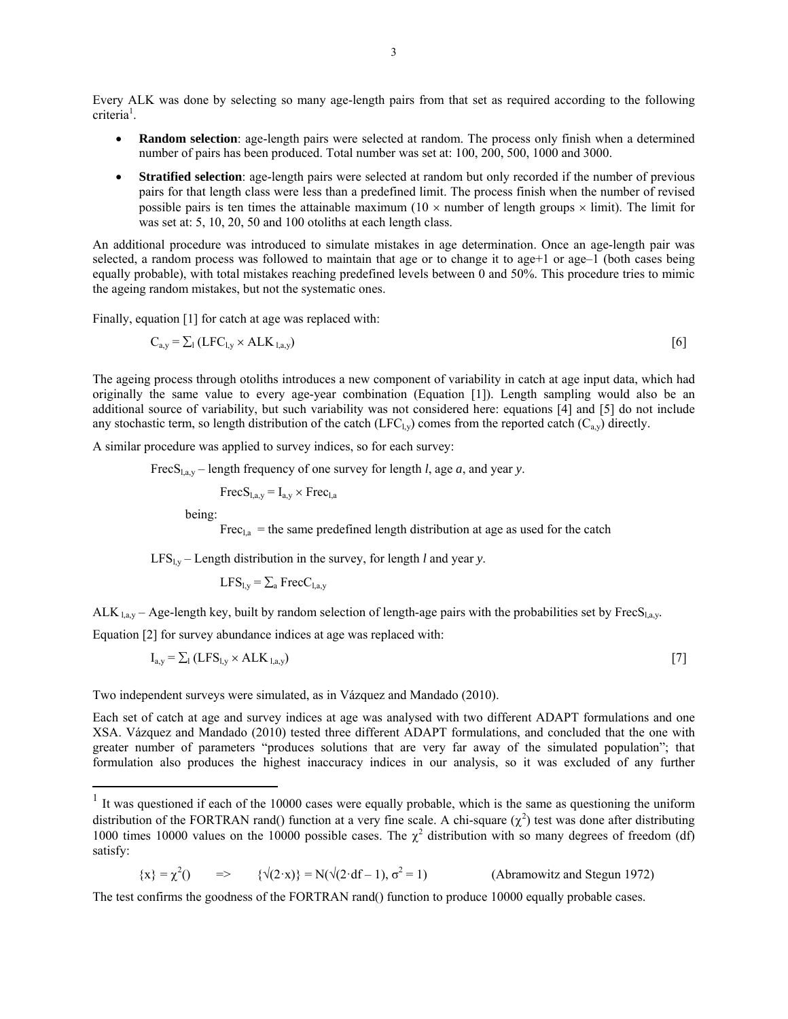Every ALK was done by selecting so many age-length pairs from that set as required according to the following criteria<sup>1</sup>.

- **Random selection**: age-length pairs were selected at random. The process only finish when a determined number of pairs has been produced. Total number was set at: 100, 200, 500, 1000 and 3000.
- **Stratified selection**: age-length pairs were selected at random but only recorded if the number of previous pairs for that length class were less than a predefined limit. The process finish when the number of revised possible pairs is ten times the attainable maximum ( $10 \times$  number of length groups  $\times$  limit). The limit for was set at: 5, 10, 20, 50 and 100 otoliths at each length class.

An additional procedure was introduced to simulate mistakes in age determination. Once an age-length pair was selected, a random process was followed to maintain that age or to change it to age+1 or age-1 (both cases being equally probable), with total mistakes reaching predefined levels between 0 and 50%. This procedure tries to mimic the ageing random mistakes, but not the systematic ones.

Finally, equation [1] for catch at age was replaced with:

$$
C_{a,y} = \sum_{l} (LFC_{l,y} \times ALK_{l,a,y})
$$

The ageing process through otoliths introduces a new component of variability in catch at age input data, which had originally the same value to every age-year combination (Equation [1]). Length sampling would also be an additional source of variability, but such variability was not considered here: equations [4] and [5] do not include any stochastic term, so length distribution of the catch (LFC<sub>l,y</sub>) comes from the reported catch (C<sub>a,y</sub>) directly.

A similar procedure was applied to survey indices, so for each survey:

FrecS<sub>la,y</sub> – length frequency of one survey for length *l*, age *a*, and year *y*.

 $FrecS<sub>law</sub> = I<sub>a,v</sub> \times Frec<sub>la</sub>$ 

being:

 $\overline{a}$ 

Frec<sub>l,a</sub> = the same predefined length distribution at age as used for the catch

 $LFS_{Ly}$  – Length distribution in the survey, for length *l* and year *y*.

 $LFS_{Ly} = \sum_{a} FrecC_{Lay}$ 

ALK  $_{1, a,y}$  – Age-length key, built by random selection of length-age pairs with the probabilities set by FrecS<sub>l,a,y</sub>.

Equation [2] for survey abundance indices at age was replaced with:

$$
I_{a,y} = \sum_{l} (LFS_{l,y} \times ALK_{l,a,y})
$$

Two independent surveys were simulated, as in Vázquez and Mandado (2010).

Each set of catch at age and survey indices at age was analysed with two different ADAPT formulations and one XSA. Vázquez and Mandado (2010) tested three different ADAPT formulations, and concluded that the one with greater number of parameters "produces solutions that are very far away of the simulated population"; that formulation also produces the highest inaccuracy indices in our analysis, so it was excluded of any further

 $\{x\} = \chi^2()$  =>  $\{\sqrt{2 \cdot x}\} = N(\sqrt{2 \cdot df} - 1), \sigma^2$ (Abramowitz and Stegun 1972)

The test confirms the goodness of the FORTRAN rand() function to produce 10000 equally probable cases.

 $1$  It was questioned if each of the 10000 cases were equally probable, which is the same as questioning the uniform distribution of the FORTRAN rand() function at a very fine scale. A chi-square  $(\chi^2)$  test was done after distributing 1000 times 10000 values on the 10000 possible cases. The  $\chi^2$  distribution with so many degrees of freedom (df) satisfy: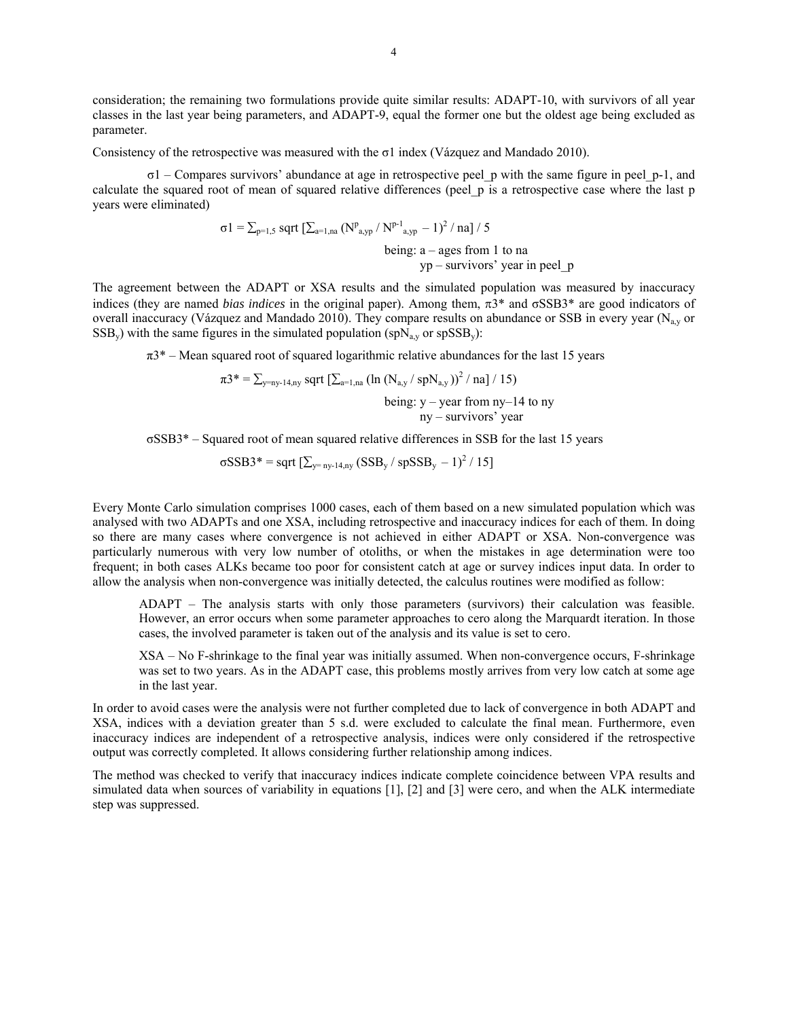consideration; the remaining two formulations provide quite similar results: ADAPT-10, with survivors of all year classes in the last year being parameters, and ADAPT-9, equal the former one but the oldest age being excluded as parameter.

Consistency of the retrospective was measured with the  $\sigma$ 1 index (Vázquez and Mandado 2010).

σ1 – Compares survivors' abundance at age in retrospective peel\_p with the same figure in peel\_p-1, and calculate the squared root of mean of squared relative differences (peel\_p is a retrospective case where the last p years were eliminated)

$$
\sigma1 = \sum_{p=1,5} \sqrt{\sum_{a=1,na} (N^p_{a,yp} / N^{p-1}_{a,yp} - 1)^2 / na} / 5
$$
  
being: a - ages from 1 to na  
yp - survives' year in peel\_p

The agreement between the ADAPT or XSA results and the simulated population was measured by inaccuracy indices (they are named *bias indices* in the original paper). Among them, π3\* and σSSB3\* are good indicators of overall inaccuracy (Vázquez and Mandado 2010). They compare results on abundance or SSB in every year ( $N_{av}$  or  $SSB_y$ ) with the same figures in the simulated population (spN<sub>a,y</sub> or spSSB<sub>y</sub>):

 $\pi$ <sup>3\*</sup> – Mean squared root of squared logarithmic relative abundances for the last 15 years

$$
\pi 3^* = \sum_{y = ny-14, ny} \sqrt{\frac{y}{2}} \sqrt{\frac{y}{2}} \left( \ln (N_{a,y} / \sqrt{spN_{a,y}}) \right)^2 / \sqrt{\frac{y}{15}}
$$
  
being:  $y - \sqrt{p}$ 

ny – survivors' year

σSSB3\* – Squared root of mean squared relative differences in SSB for the last 15 years

 $\sigma$ SSB3\* = sqrt  $[\sum_{y=ny-14,ny} (SSB_y / spSSB_y - 1)^2 / 15]$ 

Every Monte Carlo simulation comprises 1000 cases, each of them based on a new simulated population which was analysed with two ADAPTs and one XSA, including retrospective and inaccuracy indices for each of them. In doing so there are many cases where convergence is not achieved in either ADAPT or XSA. Non-convergence was particularly numerous with very low number of otoliths, or when the mistakes in age determination were too frequent; in both cases ALKs became too poor for consistent catch at age or survey indices input data. In order to allow the analysis when non-convergence was initially detected, the calculus routines were modified as follow:

ADAPT – The analysis starts with only those parameters (survivors) their calculation was feasible. However, an error occurs when some parameter approaches to cero along the Marquardt iteration. In those cases, the involved parameter is taken out of the analysis and its value is set to cero.

XSA – No F-shrinkage to the final year was initially assumed. When non-convergence occurs, F-shrinkage was set to two years. As in the ADAPT case, this problems mostly arrives from very low catch at some age in the last year.

In order to avoid cases were the analysis were not further completed due to lack of convergence in both ADAPT and XSA, indices with a deviation greater than 5 s.d. were excluded to calculate the final mean. Furthermore, even inaccuracy indices are independent of a retrospective analysis, indices were only considered if the retrospective output was correctly completed. It allows considering further relationship among indices.

The method was checked to verify that inaccuracy indices indicate complete coincidence between VPA results and simulated data when sources of variability in equations [1], [2] and [3] were cero, and when the ALK intermediate step was suppressed.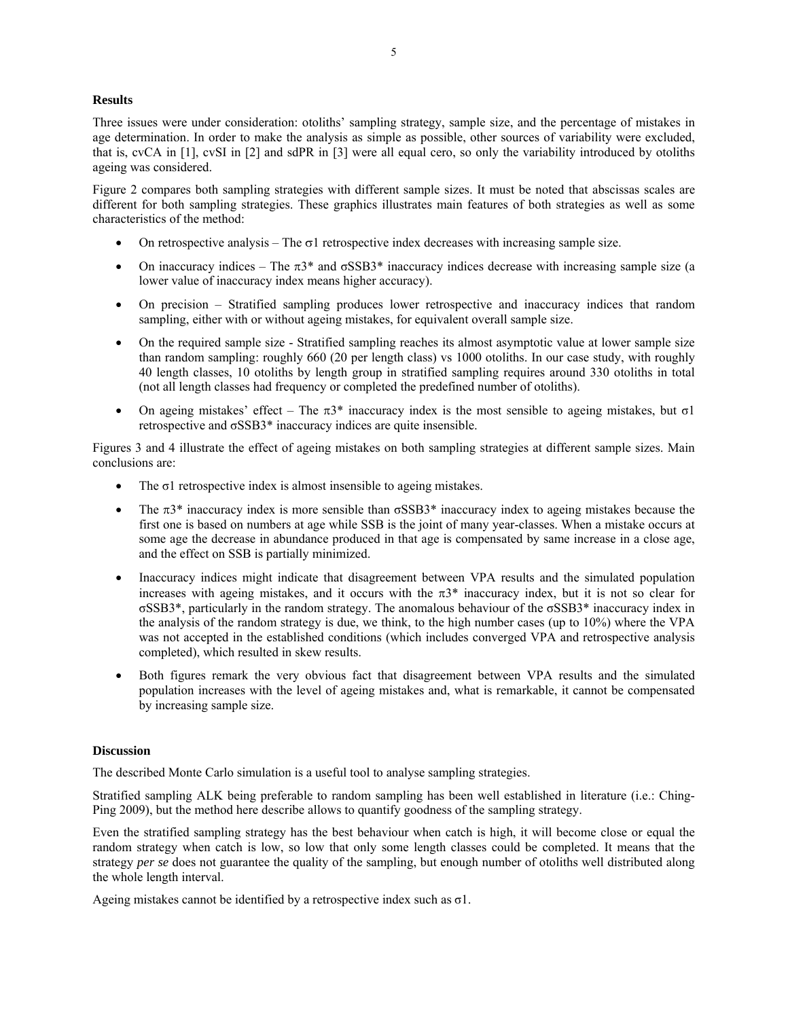## **Results**

Three issues were under consideration: otoliths' sampling strategy, sample size, and the percentage of mistakes in age determination. In order to make the analysis as simple as possible, other sources of variability were excluded, that is, cvCA in [1], cvSI in [2] and sdPR in [3] were all equal cero, so only the variability introduced by otoliths ageing was considered.

Figure 2 compares both sampling strategies with different sample sizes. It must be noted that abscissas scales are different for both sampling strategies. These graphics illustrates main features of both strategies as well as some characteristics of the method:

- On retrospective analysis The  $\sigma$ 1 retrospective index decreases with increasing sample size.
- On inaccuracy indices The  $\pi$ 3<sup>\*</sup> and  $\sigma$ SSB3<sup>\*</sup> inaccuracy indices decrease with increasing sample size (a lower value of inaccuracy index means higher accuracy).
- On precision Stratified sampling produces lower retrospective and inaccuracy indices that random sampling, either with or without ageing mistakes, for equivalent overall sample size.
- On the required sample size Stratified sampling reaches its almost asymptotic value at lower sample size than random sampling: roughly 660 (20 per length class) vs 1000 otoliths. In our case study, with roughly 40 length classes, 10 otoliths by length group in stratified sampling requires around 330 otoliths in total (not all length classes had frequency or completed the predefined number of otoliths).
- On ageing mistakes' effect The  $\pi$ 3\* inaccuracy index is the most sensible to ageing mistakes, but  $\sigma$ 1 retrospective and σSSB3\* inaccuracy indices are quite insensible.

Figures 3 and 4 illustrate the effect of ageing mistakes on both sampling strategies at different sample sizes. Main conclusions are:

- The  $\sigma$ 1 retrospective index is almost insensible to ageing mistakes.
- The  $\pi$ 3<sup>\*</sup> inaccuracy index is more sensible than  $\sigma$ SSB3<sup>\*</sup> inaccuracy index to ageing mistakes because the first one is based on numbers at age while SSB is the joint of many year-classes. When a mistake occurs at some age the decrease in abundance produced in that age is compensated by same increase in a close age, and the effect on SSB is partially minimized.
- Inaccuracy indices might indicate that disagreement between VPA results and the simulated population increases with ageing mistakes, and it occurs with the  $\pi 3^*$  inaccuracy index, but it is not so clear for σSSB3\*, particularly in the random strategy. The anomalous behaviour of the σSSB3\* inaccuracy index in the analysis of the random strategy is due, we think, to the high number cases (up to 10%) where the VPA was not accepted in the established conditions (which includes converged VPA and retrospective analysis completed), which resulted in skew results.
- Both figures remark the very obvious fact that disagreement between VPA results and the simulated population increases with the level of ageing mistakes and, what is remarkable, it cannot be compensated by increasing sample size.

### **Discussion**

The described Monte Carlo simulation is a useful tool to analyse sampling strategies.

Stratified sampling ALK being preferable to random sampling has been well established in literature (i.e.: Ching-Ping 2009), but the method here describe allows to quantify goodness of the sampling strategy.

Even the stratified sampling strategy has the best behaviour when catch is high, it will become close or equal the random strategy when catch is low, so low that only some length classes could be completed. It means that the strategy *per se* does not guarantee the quality of the sampling, but enough number of otoliths well distributed along the whole length interval.

Ageing mistakes cannot be identified by a retrospective index such as  $\sigma$ 1.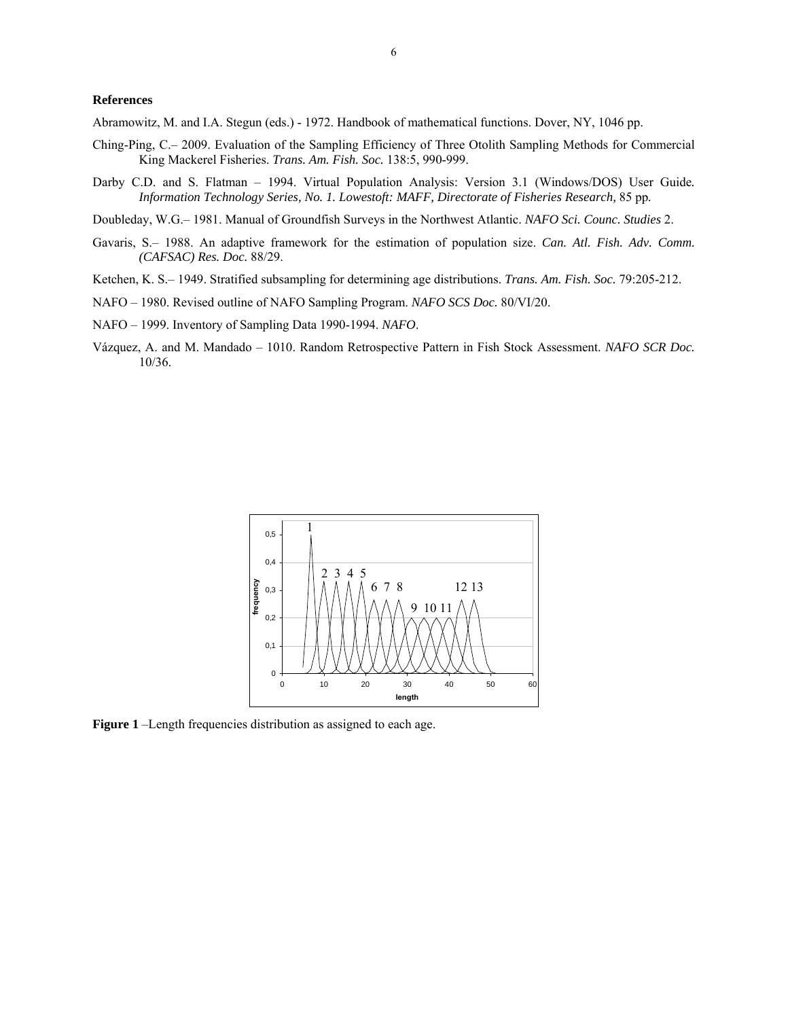### **References**

Abramowitz, M. and I.A. Stegun (eds.) - 1972. Handbook of mathematical functions. Dover, NY, 1046 pp.

- Ching-Ping, C.– 2009. Evaluation of the Sampling Efficiency of Three Otolith Sampling Methods for Commercial King Mackerel Fisheries. *Trans. Am. Fish. Soc.* 138:5, 990-999.
- Darby C.D. and S. Flatman 1994. Virtual Population Analysis: Version 3.1 (Windows/DOS) User Guide*. Information Technology Series, No. 1. Lowestoft: MAFF, Directorate of Fisheries Research,* 85 pp*.*
- Doubleday, W.G.– 1981. Manual of Groundfish Surveys in the Northwest Atlantic. *NAFO Sci. Counc. Studies* 2.
- Gavaris, S.– 1988. An adaptive framework for the estimation of population size. *Can. Atl. Fish. Adv. Comm. (CAFSAC) Res. Doc.* 88/29.
- Ketchen, K. S.– 1949. Stratified subsampling for determining age distributions. *Trans. Am. Fish. Soc.* 79:205-212.
- NAFO 1980. Revised outline of NAFO Sampling Program. *NAFO SCS Doc.* 80/VI/20.
- NAFO 1999. Inventory of Sampling Data 1990-1994. *NAFO*.
- Vázquez, A. and M. Mandado 1010. Random Retrospective Pattern in Fish Stock Assessment. *NAFO SCR Doc.* 10/36.



**Figure 1** –Length frequencies distribution as assigned to each age.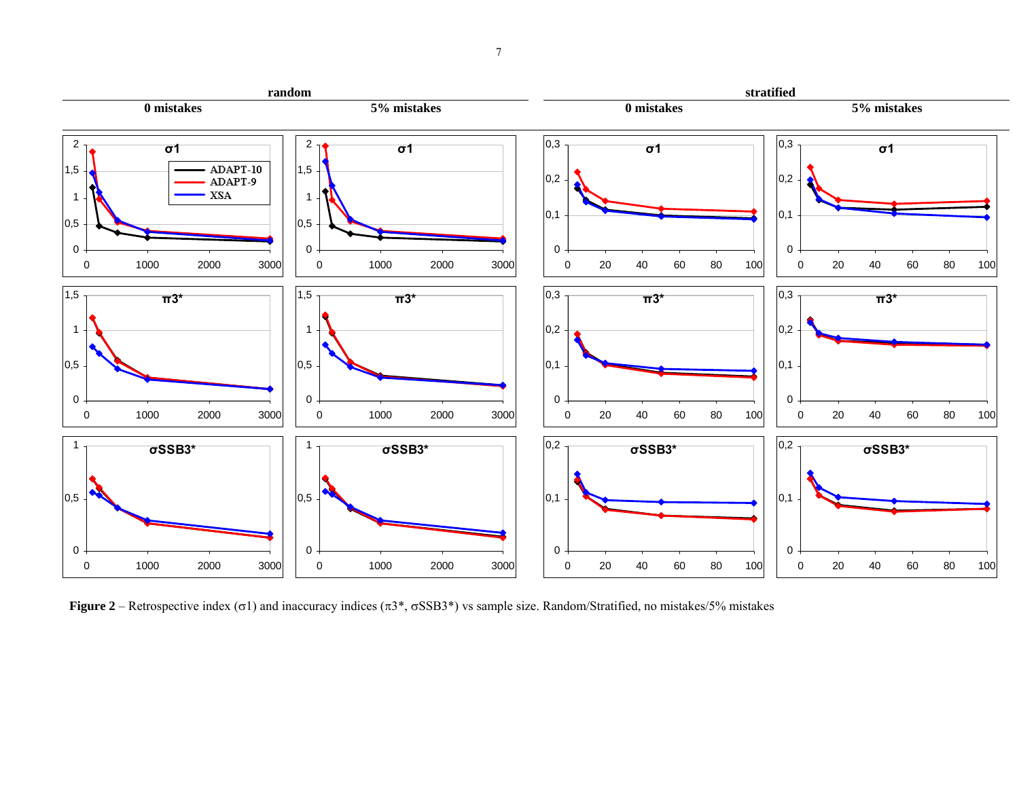

**Figure 2** – Retrospective index ( $\sigma$ 1) and inaccuracy indices ( $\pi$ 3<sup>\*</sup>,  $\sigma$ SSB3<sup>\*</sup>) vs sample size. Random/Stratified, no mistakes/5% mistakes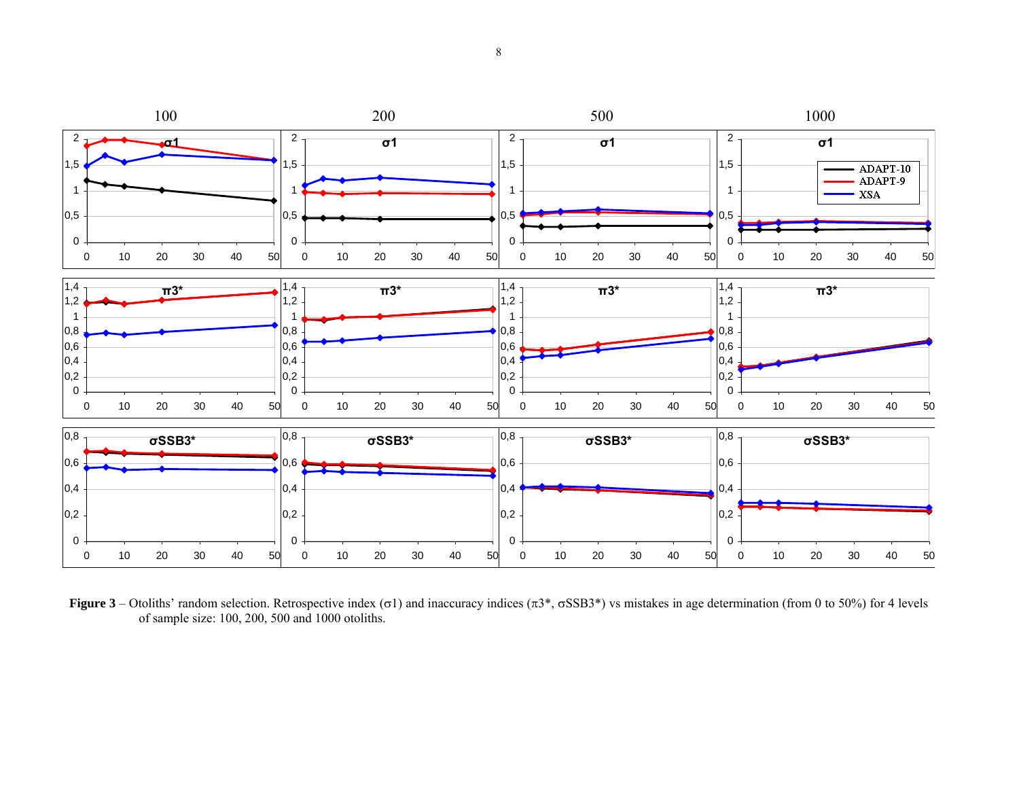

**Figure 3** – Otoliths' random selection. Retrospective index ( $\sigma$ 1) and inaccuracy indices ( $\pi$ 3<sup>\*</sup>,  $\sigma$ SSB3<sup>\*</sup>) vs mistakes in age determination (from 0 to 50%) for 4 levels of sample size: 100, 200, 500 and 1000 otoliths.

8